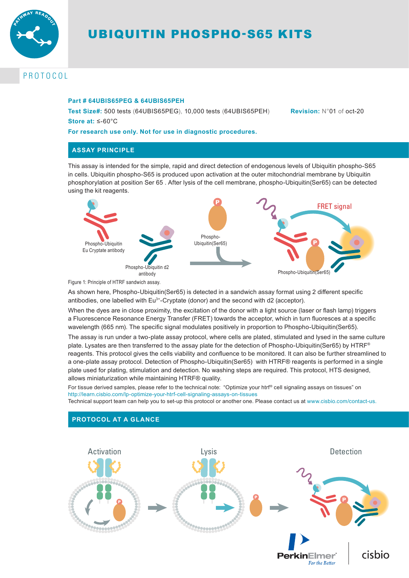

# UBIQUITIN PHOSPHO-S65 KITS

# PROTOCOL

#### **Part # 64UBIS65PEG & 64UBIS65PEH**

**Test Size#:** 500 tests (64UBIS65PEG), 10,000 tests (64UBIS65PEH) **Revision:** N°01 of oct-20 **Store at:** ≤-60°C

### **For research use only. Not for use in diagnostic procedures.**

# **ASSAY PRINCIPLE**

This assay is intended for the simple, rapid and direct detection of endogenous levels of Ubiquitin phospho-S65 in cells. Ubiquitin phospho-S65 is produced upon activation at the outer mitochondrial membrane by Ubiquitin phosphorylation at position Ser 65 . After lysis of the cell membrane, phospho-Ubiquitin(Ser65) can be detected using the kit reagents.



Figure 1: Principle of HTRF sandwich assay.

As shown here, Phospho-Ubiquitin(Ser65) is detected in a sandwich assay format using 2 different specific antibodies, one labelled with  $Eu<sup>3+</sup>-Cryptate$  (donor) and the second with d2 (acceptor).

When the dyes are in close proximity, the excitation of the donor with a light source (laser or flash lamp) triggers a Fluorescence Resonance Energy Transfer (FRET) towards the acceptor, which in turn fluoresces at a specific wavelength (665 nm). The specific signal modulates positively in proportion to Phospho-Ubiquitin(Ser65).

The assay is run under a two-plate assay protocol, where cells are plated, stimulated and lysed in the same culture plate. Lysates are then transferred to the assay plate for the detection of Phospho-Ubiquitin(Ser65) by HTRF<sup>®</sup> reagents. This protocol gives the cells viability and confluence to be monitored. It can also be further streamlined to a one-plate assay protocol. Detection of Phospho-Ubiquitin(Ser65) with HTRF® reagents is performed in a single plate used for plating, stimulation and detection. No washing steps are required. This protocol, HTS designed, allows miniaturization while maintaining HTRF® quality.

For tissue derived samples, please refer to the technical note: "Optimize your htrf® cell signaling assays on tissues" on http://learn.cisbio.com/lp-optimize-your-htrf-cell-signaling-assays-on-tissues

Technical support team can help you to set-up this protocol or another one. Please contact us at www.cisbio.com/contact-us.



# **PROTOCOL AT A GLANCE**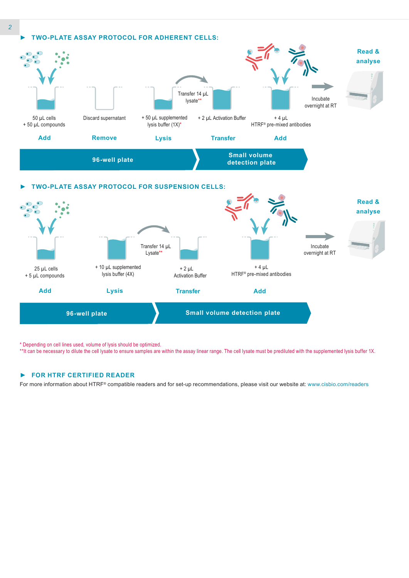

### *►* **TWO-PLATE ASSAY PROTOCOL FOR SUSPENSION CELLS:**



\* Depending on cell lines used, volume of lysis should be optimized.

\*\*It can be necessary to dilute the cell lysate to ensure samples are within the assay linear range. The cell lysate must be prediluted with the supplemented lysis buffer 1X.

#### *►* **FOR HTRF CERTIFIED READER**

For more information about HTRF® compatible readers and for set-up recommendations, please visit our website at: www.cisbio.com/readers

*2*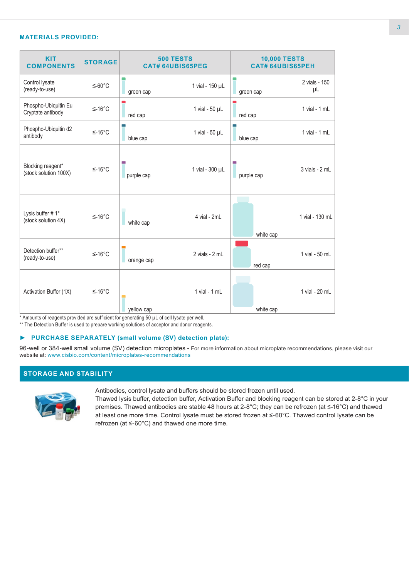# **MATERIALS PROVIDED:**

| <b>KIT</b><br><b>COMPONENTS</b>            | <b>STORAGE</b> | <b>500 TESTS</b><br><b>CAT# 64UBIS65PEG</b> |                       | <b>10,000 TESTS</b><br><b>CAT# 64UBIS65PEH</b> |                     |
|--------------------------------------------|----------------|---------------------------------------------|-----------------------|------------------------------------------------|---------------------|
| Control lysate<br>(ready-to-use)           | $≤-60°C$       | green cap                                   | 1 vial - 150 µL       | green cap                                      | 2 vials - 150<br>μL |
| Phospho-Ubiquitin Eu<br>Cryptate antibody  | $≤-16°C$       | red cap                                     | 1 vial - 50 µL        | red cap                                        | $1$ vial - $1$ mL   |
| Phospho-Ubiquitin d2<br>antibody           | $≤-16°C$       | m.<br>blue cap                              | 1 vial - $50$ $\mu$ L | blue cap                                       | $1$ vial - $1$ mL   |
| Blocking reagent*<br>(stock solution 100X) | $≤-16°C$       | m.<br>purple cap                            | 1 vial - 300 µL       | purple cap                                     | $3$ vials - $2$ mL  |
| Lysis buffer #1*<br>(stock solution 4X)    | $≤-16°C$       | white cap                                   | 4 vial - 2mL          | white cap                                      | 1 vial - 130 mL     |
| Detection buffer**<br>(ready-to-use)       | $≤-16°C$       | orange cap                                  | 2 vials - 2 mL        | red cap                                        | 1 vial - 50 mL      |
| Activation Buffer (1X)                     | $≤-16°C$       | yellow cap                                  | $1$ vial - $1$ mL     | white cap                                      | 1 vial - 20 mL      |

\* Amounts of reagents provided are sufficient for generating 50 µL of cell lysate per well.

\*\* The Detection Buffer is used to prepare working solutions of acceptor and donor reagents.

#### *►* **PURCHASE SEPARATELY (small volume (SV) detection plate):**

96-well or 384-well small volume (SV) detection microplates - For more information about microplate recommendations, please visit our website at: www.cisbio.com/content/microplates-recommendations

# **STORAGE AND STABILITY**



Antibodies, control lysate and buffers should be stored frozen until used.

Thawed lysis buffer, detection buffer, Activation Buffer and blocking reagent can be stored at 2-8°C in your premises. Thawed antibodies are stable 48 hours at 2-8°C; they can be refrozen (at ≤-16°C) and thawed at least one more time. Control lysate must be stored frozen at ≤-60°C. Thawed control lysate can be refrozen (at ≤-60°C) and thawed one more time.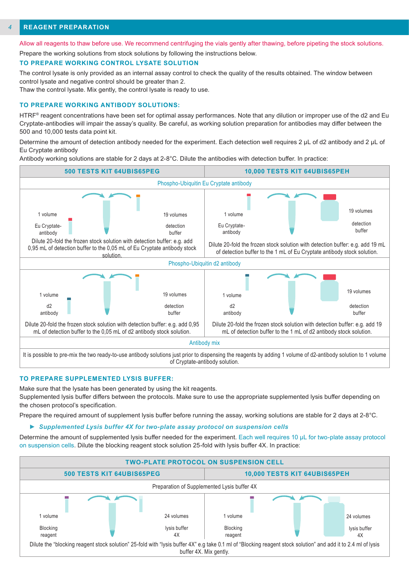#### **REAGENT PREPARATION** *4*

Allow all reagents to thaw before use. We recommend centrifuging the vials gently after thawing, before pipeting the stock solutions.

Prepare the working solutions from stock solutions by following the instructions below.

#### **TO PREPARE WORKING CONTROL LYSATE SOLUTION**

The control lysate is only provided as an internal assay control to check the quality of the results obtained. The window between control lysate and negative control should be greater than 2.

Thaw the control lysate. Mix gently, the control lysate is ready to use.

#### **TO PREPARE WORKING ANTIBODY SOLUTIONS:**

HTRF<sup>®</sup> reagent concentrations have been set for optimal assay performances. Note that any dilution or improper use of the d2 and Eu Cryptate-antibodies will impair the assay's quality. Be careful, as working solution preparation for antibodies may differ between the 500 and 10,000 tests data point kit.

Determine the amount of detection antibody needed for the experiment. Each detection well requires 2 μL of d2 antibody and 2 μL of Eu Cryptate antibody

Antibody working solutions are stable for 2 days at 2-8°C. Dilute the antibodies with detection buffer. In practice:



#### **TO PREPARE SUPPLEMENTED LYSIS BUFFER:**

Make sure that the lysate has been generated by using the kit reagents.

Supplemented lysis buffer differs between the protocols. Make sure to use the appropriate supplemented lysis buffer depending on the chosen protocol's specification.

Prepare the required amount of supplement lysis buffer before running the assay, working solutions are stable for 2 days at 2-8°C.

#### *► Supplemented Lysis buffer 4X for two-plate assay protocol on suspension cells*

Determine the amount of supplemented lysis buffer needed for the experiment. Each well requires 10 μL for two-plate assay protocol on suspension cells. Dilute the blocking reagent stock solution 25-fold with lysis buffer 4X. In practice:

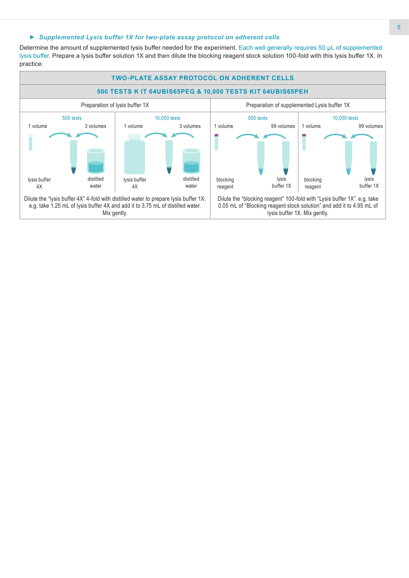#### *► Supplemented Lysis buffer 1X for two-plate assay protocol on adherent cells*

Determine the amount of supplemented lysis buffer needed for the experiment. Each well generally requires 50 µL of supplemented lysis buffer. Prepare a lysis buffer solution 1X and then dilute the blocking reagent stock solution 100-fold with this lysis buffer 1X. In practice:

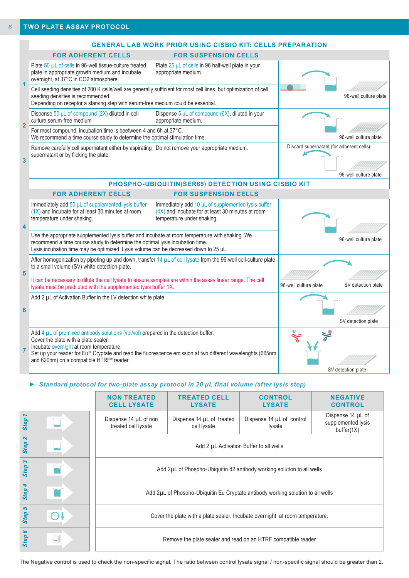|                                  | <b>GENERAL LAB WORK PRIOR USING CISBIO KIT: CELLS PREPARATION</b>                                                                                                                                                                                                                                                                                              |                                                                                                                                         |                                          |                       |  |
|----------------------------------|----------------------------------------------------------------------------------------------------------------------------------------------------------------------------------------------------------------------------------------------------------------------------------------------------------------------------------------------------------------|-----------------------------------------------------------------------------------------------------------------------------------------|------------------------------------------|-----------------------|--|
|                                  | <b>FOR ADHERENT CELLS</b>                                                                                                                                                                                                                                                                                                                                      | <b>FOR SUSPENSION CELLS</b>                                                                                                             |                                          |                       |  |
| $\overline{1}$<br>$\overline{2}$ | Plate 50 µL of cells in 96-well tissue-culture treated<br>plate in appropriate growth medium and incubate<br>overnight, at 37°C in CO2 atmosphere.                                                                                                                                                                                                             | Plate 25 µL of cells in 96 half-well plate in your<br>appropriate medium.                                                               |                                          |                       |  |
|                                  | Cell seeding densities of 200 K cells/well are generally sufficient for most cell lines, but optimization of cell<br>seeding densities is recommended.<br>Depending on receptor a starving step with serum-free medium could be essential.                                                                                                                     |                                                                                                                                         | 96-well culture plate                    |                       |  |
|                                  | Dispense 50 µL of compound (2X) diluted in cell<br>culture serum-free medium                                                                                                                                                                                                                                                                                   | Dispense $5 \mu L$ of compound (6X), diluted in your<br>appropriate medium.                                                             |                                          |                       |  |
|                                  | For most compound, incubation time is beetween 4 and 6h at 37°C.<br>We recommend a time course study to determine the optimal stimulation time.                                                                                                                                                                                                                |                                                                                                                                         | 96-well culture plate                    |                       |  |
| $\overline{\mathbf{3}}$          | Remove carefully cell supernatant either by aspirating   Do not remove your appropriate medium.<br>supernatant or by flicking the plate.                                                                                                                                                                                                                       |                                                                                                                                         | Discard supernatant (for adherent cells) | 96-well culture plate |  |
|                                  | PHOSPHO-UBIQUITIN(SER65) DETECTION USING CISBIO KIT                                                                                                                                                                                                                                                                                                            |                                                                                                                                         |                                          |                       |  |
|                                  | <b>FOR ADHERENT CELLS</b><br><b>FOR SUSPENSION CELLS</b>                                                                                                                                                                                                                                                                                                       |                                                                                                                                         |                                          |                       |  |
| $\overline{\mathbf{4}}$          | Immediately add 50 µL of supplemented lysis buffer<br>$(1X)$ and incubate for at least 30 minutes at room<br>temperature under shaking.                                                                                                                                                                                                                        | Immediately add 10 µL of supplemented lysis buffer<br>$(4X)$ and incubate for at least 30 minutes at room<br>temperature under shaking. |                                          |                       |  |
|                                  | Use the appropriate supplemented lysis buffer and incubate at room temperature with shaking. We<br>recommend a time course study to determine the optimal lysis incubation time.<br>Lysis incubation time may be optimized. Lysis volume can be decreased down to 25 µL.                                                                                       |                                                                                                                                         | 96-well culture plate                    |                       |  |
| 5                                | After homogenization by pipeting up and down, transfer 14 µL of cell lysate from the 96-well cell-culture plate<br>to a small volume (SV) white detection plate.                                                                                                                                                                                               |                                                                                                                                         |                                          |                       |  |
|                                  | It can be necessary to dilute the cell lysate to ensure samples are within the assay linear range. The cell<br>lysate must be prediluted with the supplemented lysis buffer 1X.                                                                                                                                                                                | 96-well culture plate                                                                                                                   | SV detection plate                       |                       |  |
| 6                                | Add 2 µL of Activation Buffer in the LV detection white plate.                                                                                                                                                                                                                                                                                                 |                                                                                                                                         |                                          |                       |  |
|                                  |                                                                                                                                                                                                                                                                                                                                                                |                                                                                                                                         |                                          | SV detection plate    |  |
| $\overline{7}$                   | Add $4 \mu L$ of premixed antibody solutions (vol/vol) prepared in the detection buffer.<br>Cover the plate with a plate sealer.<br>Incubate overnight at room temperature.<br>Set up your reader for Eu <sup>3+</sup> Cryptate and read the fluorescence emission at two different wavelenghts (665nm<br>and 620nm) on a compatible HTRF <sup>®</sup> reader. |                                                                                                                                         |                                          | SV detection plate    |  |

# *► Standard protocol for two-plate assay protocol in 20 µL final volume (after lysis step)*

|                          | <b>NON TREATED</b><br><b>CELL LYSATE</b>                                        | <b>TREATED CELL</b><br><b>LYSATE</b>     | <b>CONTROL</b><br><b>LYSATE</b>     | <b>NEGATIVE</b><br><b>CONTROL</b>                     |
|--------------------------|---------------------------------------------------------------------------------|------------------------------------------|-------------------------------------|-------------------------------------------------------|
| Step                     | Dispense 14 µL of non<br>treated cell lysate                                    | Dispense 14 µL of treated<br>cell lysate | Dispense 14 µL of control<br>lysate | Dispense 14 µL of<br>supplemented lysis<br>buffer(1X) |
| $\sim$<br><b>Step</b>    | Add 2 µL Activation Buffer to all wells                                         |                                          |                                     |                                                       |
| S<br><b>Step</b>         | Add 2µL of Phospho-Ubiquitin d2 antibody working solution to all wells          |                                          |                                     |                                                       |
| 4<br><b>Step</b>         | Add 2µL of Phospho-Ubiquitin Eu Cryptate antibody working solution to all wells |                                          |                                     |                                                       |
| 5<br><b>Step</b>         | Cover the plate with a plate sealer. Incubate overnight at room temperature.    |                                          |                                     |                                                       |
| G<br><b>Step</b><br>$-1$ | Remove the plate sealer and read on an HTRF compatible reader                   |                                          |                                     |                                                       |

The Negative control is used to check the non-specific signal. The ratio between control lysate signal / non-specific signal should be greater than 2.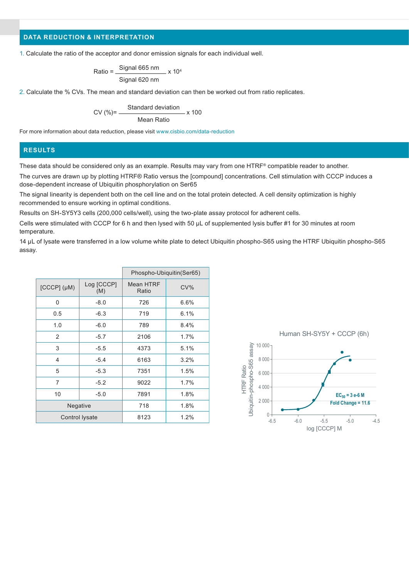# **DATA REDUCTION & INTERPRETATION**

1. Calculate the ratio of the acceptor and donor emission signals for each individual well.

$$
Ratio = \frac{Signal 665 nm}{Signal 620 nm} \times 10^4
$$

2. Calculate the % CVs. The mean and standard deviation can then be worked out from ratio replicates.

$$
CV (%) = \frac{Standard deviation}{Mean Ratio} \times 100
$$

For more information about data reduction, please visit www.cisbio.com/data-reduction

# **RESULTS**

These data should be considered only as an example. Results may vary from one HTRF® compatible reader to another.

The curves are drawn up by plotting HTRF® Ratio versus the [compound] concentrations. Cell stimulation with CCCP induces a dose-dependent increase of Ubiquitin phosphorylation on Ser65

The signal linearity is dependent both on the cell line and on the total protein detected. A cell density optimization is highly recommended to ensure working in optimal conditions.

Results on SH-SY5Y3 cells (200,000 cells/well), using the two-plate assay protocol for adherent cells.

Cells were stimulated with CCCP for 6 h and then lysed with 50 µL of supplemented lysis buffer #1 for 30 minutes at room temperature.

14 µL of lysate were transferred in a low volume white plate to detect Ubiquitin phospho-S65 using the HTRF Ubiquitin phospho-S65 assay.

|                    |                   | Phospho-Ubiquitin(Ser65) |      |  |
|--------------------|-------------------|--------------------------|------|--|
| $[CCCP]$ $(\mu M)$ | Log [CCCP]<br>(M) | Mean HTRF<br>Ratio       | CV%  |  |
| 0                  | $-8.0$            | 726                      | 6.6% |  |
| 0.5                | $-6.3$            | 719                      | 6.1% |  |
| 1.0                | $-6.0$            | 789                      | 8.4% |  |
| 2                  | $-5.7$            | 2106                     | 1.7% |  |
| 3                  | $-5.5$            | 4373                     | 5.1% |  |
| 4                  | $-5.4$            | 6163                     | 3.2% |  |
| 5                  | $-5.3$            | 7351                     | 1.5% |  |
| 7                  | $-5.2$            | 9022                     | 1.7% |  |
| 10                 | $-5.0$            | 7891                     | 1.8% |  |
| Negative           |                   | 718                      | 1.8% |  |
| Control lysate     |                   | 8123                     | 1.2% |  |